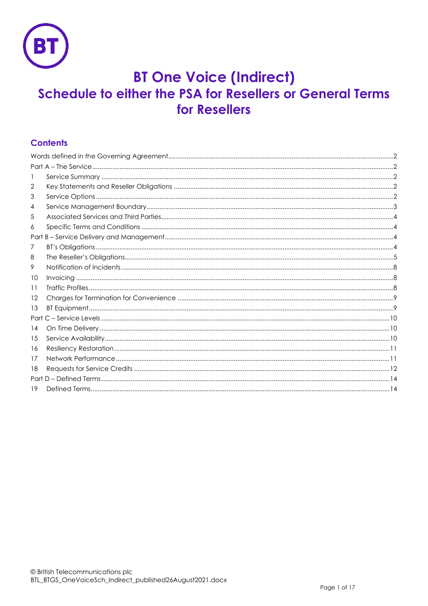

# **BT One Voice (Indirect)** Schedule to either the PSA for Resellers or General Terms for Resellers

# **Contents**

| 2  |  |  |  |
|----|--|--|--|
| 3  |  |  |  |
| 4  |  |  |  |
| 5  |  |  |  |
| 6  |  |  |  |
|    |  |  |  |
| Τ  |  |  |  |
| 8  |  |  |  |
| 9  |  |  |  |
| 10 |  |  |  |
| 11 |  |  |  |
| 12 |  |  |  |
| 13 |  |  |  |
|    |  |  |  |
| 14 |  |  |  |
| 15 |  |  |  |
| 16 |  |  |  |
| 17 |  |  |  |
| 18 |  |  |  |
|    |  |  |  |
| 19 |  |  |  |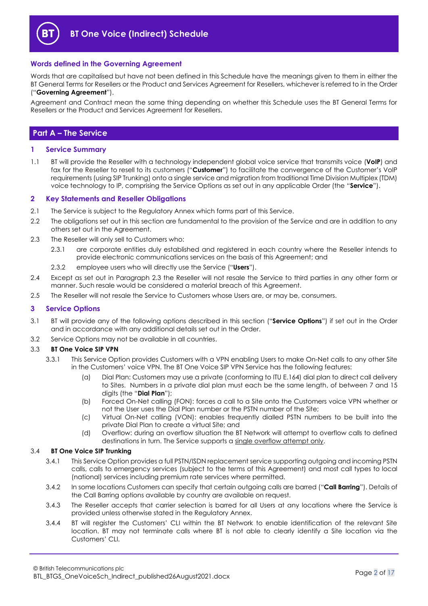

## <span id="page-1-0"></span>**Words defined in the Governing Agreement**

Words that are capitalised but have not been defined in this Schedule have the meanings given to them in either the BT General Terms for Resellers or the Product and Services Agreement for Resellers, whichever is referred to in the Order ("**Governing Agreement**").

Agreement and Contract mean the same thing depending on whether this Schedule uses the BT General Terms for Resellers or the Product and Services Agreement for Resellers.

## <span id="page-1-1"></span>**Part A – The Service**

## <span id="page-1-2"></span>**1 Service Summary**

1.1 BT will provide the Reseller with a technology independent global voice service that transmits voice (**VoIP**) and fax for the Reseller to resell to its customers ("**Customer**") to facilitate the convergence of the Customer's VoIP requirements (using SIP Trunking) onto a single service and migration from traditional Time Division Multiplex (TDM) voice technology to IP, comprising the Service Options as set out in any applicable Order (the "**Service**").

#### <span id="page-1-3"></span>**2 Key Statements and Reseller Obligations**

- 2.1 The Service is subject to the Regulatory Annex which forms part of this Service.
- 2.2 The obligations set out in this section are fundamental to the provision of the Service and are in addition to any others set out in the Agreement.
- <span id="page-1-5"></span>2.3 The Reseller will only sell to Customers who:
	- 2.3.1 are corporate entities duly established and registered in each country where the Reseller intends to provide electronic communications services on the basis of this Agreement; and
	- 2.3.2 employee users who will directly use the Service ("**Users**").
- 2.4 Except as set out in Paragraph [2.3](#page-1-5) the Reseller will not resale the Service to third parties in any other form or manner. Such resale would be considered a material breach of this Agreement.
- 2.5 The Reseller will not resale the Service to Customers whose Users are, or may be, consumers.

## <span id="page-1-4"></span>**3 Service Options**

- 3.1 BT will provide any of the following options described in this section ("**Service Options**") if set out in the Order and in accordance with any additional details set out in the Order.
- 3.2 Service Options may not be available in all countries.

#### 3.3 **BT One Voice SIP VPN**

- <span id="page-1-8"></span>3.3.1 This Service Option provides Customers with a VPN enabling Users to make On-Net calls to any other Site in the Customers' voice VPN. The BT One Voice SIP VPN Service has the following features:
	- (a) Dial Plan: Customers may use a private (conforming to ITU E.164) dial plan to direct call delivery to Sites. Numbers in a private dial plan must each be the same length, of between 7 and 15 digits (the "**Dial Plan**");
	- (b) Forced On-Net calling (FON): forces a call to a Site onto the Customers voice VPN whether or not the User uses the Dial Plan number or the PSTN number of the Site;
	- (c) Virtual On-Net calling (VON): enables frequently dialled PSTN numbers to be built into the private Dial Plan to create a virtual Site; and
	- (d) Overflow: during an overflow situation the BT Network will attempt to overflow calls to defined destinations in turn. The Service supports a single overflow attempt only.

#### <span id="page-1-6"></span>3.4 **BT One Voice SIP Trunking**

- 3.4.1 This Service Option provides a full PSTN/ISDN replacement service supporting outgoing and incoming PSTN calls, calls to emergency services (subject to the terms of this Agreement) and most call types to local (national) services including premium rate services where permitted.
- <span id="page-1-7"></span>3.4.2 In some locations Customers can specify that certain outgoing calls are barred ("**Call Barring**"). Details of the Call Barring options available by country are available on request.
- 3.4.3 The Reseller accepts that carrier selection is barred for all Users at any locations where the Service is provided unless otherwise stated in the Regulatory Annex.
- 3.4.4 BT will register the Customers' CLI within the BT Network to enable identification of the relevant Site location. BT may not terminate calls where BT is not able to clearly identify a Site location via the Customers' CLI.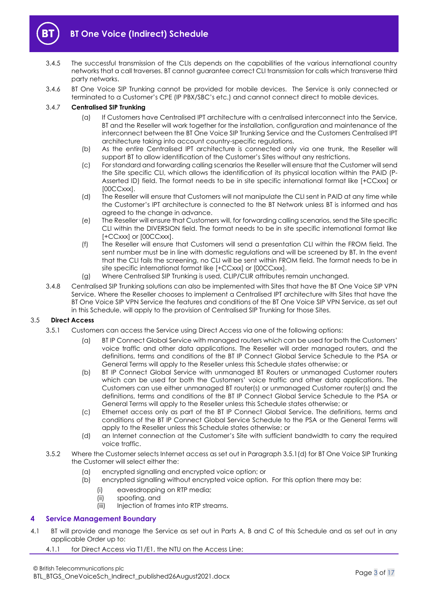

- 3.4.5 The successful transmission of the CLIs depends on the capabilities of the various international country networks that a call traverses. BT cannot guarantee correct CLI transmission for calls which transverse third party networks.
- 3.4.6 BT One Voice SIP Trunking cannot be provided for mobile devices. The Service is only connected or terminated to a Customer's CPE (IP PBX/SBC's etc.) and cannot connect direct to mobile devices.

## <span id="page-2-3"></span>3.4.7 **Centralised SIP Trunking**

- (a) If Customers have Centralised IPT architecture with a centralised interconnect into the Service, BT and the Reseller will work together for the installation, configuration and maintenance of the interconnect between the BT One Voice SIP Trunking Service and the Customers Centralised IPT architecture taking into account country-specific regulations.
- (b) As the entire Centralised IPT architecture is connected only via one trunk, the Reseller will support BT to allow identification of the Customer's Sites without any restrictions.
- (c) For standard and forwarding calling scenarios the Reseller will ensure that the Customer will send the Site specific CLI, which allows the identification of its physical location within the PAID (P-Asserted ID) field. The format needs to be in site specific international format like [+CCxxx] or [00CCxxx].
- (d) The Reseller will ensure that Customers will not manipulate the CLI sent in PAID at any time while the Customer's IPT architecture is connected to the BT Network unless BT is informed and has agreed to the change in advance.
- (e) The Reseller will ensure that Customers will, for forwarding calling scenarios, send the Site specific CLI within the DIVERSION field. The format needs to be in site specific international format like [+CCxxx] or [00CCxxx].
- (f) The Reseller will ensure that Customers will send a presentation CLI within the FROM field. The sent number must be in line with domestic regulations and will be screened by BT. In the event that the CLI fails the screening, no CLI will be sent within FROM field. The format needs to be in site specific international format like [+CCxxx] or [00CCxxx].
- (g) Where Centralised SIP Trunking is used, CLIP/CLIR attributes remain unchanged.
- 3.4.8 Centralised SIP Trunking solutions can also be implemented with Sites that have the BT One Voice SIP VPN Service. Where the Reseller chooses to implement a Centralised IPT architecture with Sites that have the BT One Voice SIP VPN Service the features and conditions of the BT One Voice SIP VPN Service, as set out in this Schedule, will apply to the provision of Centralised SIP Trunking for those Sites.

## <span id="page-2-2"></span>3.5 **Direct Access**

- 3.5.1 Customers can access the Service using Direct Access via one of the following options:
	- (a) BT IP Connect Global Service with managed routers which can be used for both the Customers' voice traffic and other data applications. The Reseller will order managed routers, and the definitions, terms and conditions of the BT IP Connect Global Service Schedule to the PSA or General Terms will apply to the Reseller unless this Schedule states otherwise; or
	- (b) BT IP Connect Global Service with unmanaged BT Routers or unmanaged Customer routers which can be used for both the Customers' voice traffic and other data applications. The Customers can use either unmanaged BT router(s) or unmanaged Customer router(s) and the definitions, terms and conditions of the BT IP Connect Global Service Schedule to the PSA or General Terms will apply to the Reseller unless this Schedule states otherwise; or
	- (c) Ethernet access only as part of the BT IP Connect Global Service. The definitions, terms and conditions of the BT IP Connect Global Service Schedule to the PSA or the General Terms will apply to the Reseller unless this Schedule states otherwise; or
	- (d) an Internet connection at the Customer's Site with sufficient bandwidth to carry the required voice traffic.
- <span id="page-2-1"></span>3.5.2 Where the Customer selects Internet access as set out in Paragraph [3.5.1\(d\)](#page-2-1) for BT One Voice SIP Trunking the Customer will select either the:
	- (a) encrypted signalling and encrypted voice option; or
	- (b) encrypted signalling without encrypted voice option. For this option there may be:
		- (i) eavesdropping on RTP media;
		- (ii) spoofing, and
		- (iii) Injection of frames into RTP streams.

## <span id="page-2-0"></span>**4 Service Management Boundary**

- <span id="page-2-4"></span>4.1 BT will provide and manage the Service as set out in Parts A, B and C of this Schedule and as set out in any applicable Order up to:
	- 4.1.1 for Direct Access via T1/E1, the NTU on the Access Line;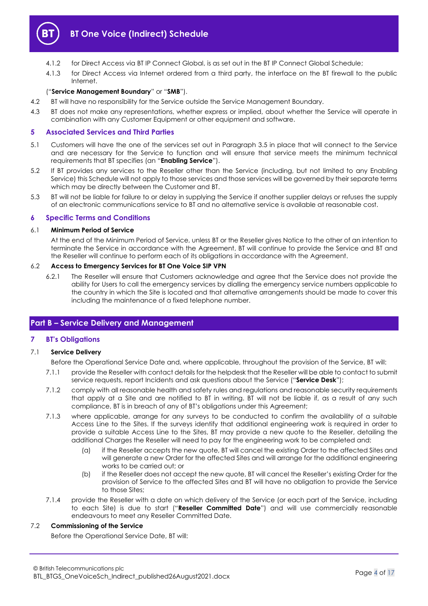

- 4.1.2 for Direct Access via BT IP Connect Global, is as set out in the BT IP Connect Global Schedule;
- <span id="page-3-4"></span>4.1.3 for Direct Access via Internet ordered from a third party, the interface on the BT firewall to the public Internet.

## ("**Service Management Boundary**" or "**SMB**").

- 4.2 BT will have no responsibility for the Service outside the Service Management Boundary.
- 4.3 BT does not make any representations, whether express or implied, about whether the Service will operate in combination with any Customer Equipment or other equipment and software.

## <span id="page-3-0"></span>**5 Associated Services and Third Parties**

- <span id="page-3-6"></span>5.1 Customers will have the one of the services set out in Paragraph [3.5](#page-2-2) in place that will connect to the Service and are necessary for the Service to function and will ensure that service meets the minimum technical requirements that BT specifies (an "**Enabling Service**").
- 5.2 If BT provides any services to the Reseller other than the Service (including, but not limited to any Enabling Service) this Schedule will not apply to those services and those services will be governed by their separate terms which may be directly between the Customer and BT.
- 5.3 BT will not be liable for failure to or delay in supplying the Service if another supplier delays or refuses the supply of an electronic communications service to BT and no alternative service is available at reasonable cost.

## <span id="page-3-1"></span>**6 Specific Terms and Conditions**

#### 6.1 **Minimum Period of Service**

At the end of the Minimum Period of Service, unless BT or the Reseller gives Notice to the other of an intention to terminate the Service in accordance with the Agreement, BT will continue to provide the Service and BT and the Reseller will continue to perform each of its obligations in accordance with the Agreement.

## 6.2 **Access to Emergency Services for BT One Voice SIP VPN**

6.2.1 The Reseller will ensure that Customers acknowledge and agree that the Service does not provide the ability for Users to call the emergency services by dialling the emergency service numbers applicable to the country in which the Site is located and that alternative arrangements should be made to cover this including the maintenance of a fixed telephone number.

## <span id="page-3-2"></span>**Part B – Service Delivery and Management**

## <span id="page-3-3"></span>**7 BT's Obligations**

## 7.1 **Service Delivery**

Before the Operational Service Date and, where applicable, throughout the provision of the Service, BT will:

- <span id="page-3-7"></span>7.1.1 provide the Reseller with contact details for the helpdesk that the Reseller will be able to contact to submit service requests, report Incidents and ask questions about the Service ("**Service Desk**");
- 7.1.2 comply with all reasonable health and safety rules and regulations and reasonable security requirements that apply at a Site and are notified to BT in writing. BT will not be liable if, as a result of any such compliance, BT is in breach of any of BT's obligations under this Agreement;
- 7.1.3 where applicable, arrange for any surveys to be conducted to confirm the availability of a suitable Access Line to the Sites. If the surveys identify that additional engineering work is required in order to provide a suitable Access Line to the Sites, BT may provide a new quote to the Reseller, detailing the additional Charges the Reseller will need to pay for the engineering work to be completed and:
	- (a) if the Reseller accepts the new quote, BT will cancel the existing Order to the affected Sites and will generate a new Order for the affected Sites and will arrange for the additional engineering works to be carried out; or
	- (b) if the Reseller does not accept the new quote, BT will cancel the Reseller's existing Order for the provision of Service to the affected Sites and BT will have no obligation to provide the Service to those Sites;
- 7.1.4 provide the Reseller with a date on which delivery of the Service (or each part of the Service, including to each Site) is due to start ("**Reseller Committed Date**") and will use commercially reasonable endeavours to meet any Reseller Committed Date.

## <span id="page-3-5"></span>7.2 **Commissioning of the Service**

Before the Operational Service Date, BT will: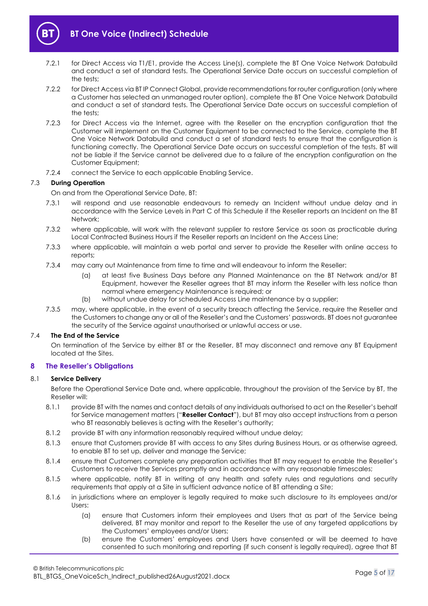

- 7.2.1 for Direct Access via T1/E1, provide the Access Line(s), complete the BT One Voice Network Databuild and conduct a set of standard tests. The Operational Service Date occurs on successful completion of the tests:
- 7.2.2 for Direct Access via BT IP Connect Global, provide recommendations for router configuration (only where a Customer has selected an unmanaged router option), complete the BT One Voice Network Databuild and conduct a set of standard tests. The Operational Service Date occurs on successful completion of the tests;
- 7.2.3 for Direct Access via the Internet, agree with the Reseller on the encryption configuration that the Customer will implement on the Customer Equipment to be connected to the Service, complete the BT One Voice Network Databuild and conduct a set of standard tests to ensure that the configuration is functioning correctly. The Operational Service Date occurs on successful completion of the tests. BT will not be liable if the Service cannot be delivered due to a failure of the encryption configuration on the Customer Equipment;
- 7.2.4 connect the Service to each applicable Enabling Service.

## 7.3 **During Operation**

On and from the Operational Service Date, BT:

- 7.3.1 will respond and use reasonable endeavours to remedy an Incident without undue delay and in accordance with the Service Levels in Part C of this Schedule if the Reseller reports an Incident on the BT Network;
- 7.3.2 where applicable, will work with the relevant supplier to restore Service as soon as practicable during Local Contracted Business Hours if the Reseller reports an Incident on the Access Line;
- 7.3.3 where applicable, will maintain a web portal and server to provide the Reseller with online access to reports;
- 7.3.4 may carry out Maintenance from time to time and will endeavour to inform the Reseller:
	- (a) at least five Business Days before any Planned Maintenance on the BT Network and/or BT Equipment, however the Reseller agrees that BT may inform the Reseller with less notice than normal where emergency Maintenance is required; or
	- (b) without undue delay for scheduled Access Line maintenance by a supplier;
- 7.3.5 may, where applicable, in the event of a security breach affecting the Service, require the Reseller and the Customers to change any or all of the Reseller's and the Customers' passwords. BT does not guarantee the security of the Service against unauthorised or unlawful access or use.

## <span id="page-4-2"></span>7.4 **The End of the Service**

On termination of the Service by either BT or the Reseller, BT may disconnect and remove any BT Equipment located at the Sites.

## <span id="page-4-0"></span>**8 The Reseller's Obligations**

#### 8.1 **Service Delivery**

Before the Operational Service Date and, where applicable, throughout the provision of the Service by BT, the Reseller will:

- <span id="page-4-1"></span>8.1.1 provide BT with the names and contact details of any individuals authorised to act on the Reseller's behalf for Service management matters ("**Reseller Contact**"), but BT may also accept instructions from a person who BT reasonably believes is acting with the Reseller's authority;
- 8.1.2 provide BT with any information reasonably required without undue delay;
- 8.1.3 ensure that Customers provide BT with access to any Sites during Business Hours, or as otherwise agreed, to enable BT to set up, deliver and manage the Service;
- 8.1.4 ensure that Customers complete any preparation activities that BT may request to enable the Reseller's Customers to receive the Services promptly and in accordance with any reasonable timescales;
- 8.1.5 where applicable, notify BT in writing of any health and safety rules and regulations and security requirements that apply at a Site in sufficient advance notice of BT attending a Site;
- 8.1.6 in jurisdictions where an employer is legally required to make such disclosure to its employees and/or Users:
	- (a) ensure that Customers inform their employees and Users that as part of the Service being delivered, BT may monitor and report to the Reseller the use of any targeted applications by the Customers' employees and/or Users;
	- (b) ensure the Customers' employees and Users have consented or will be deemed to have consented to such monitoring and reporting (if such consent is legally required), agree that BT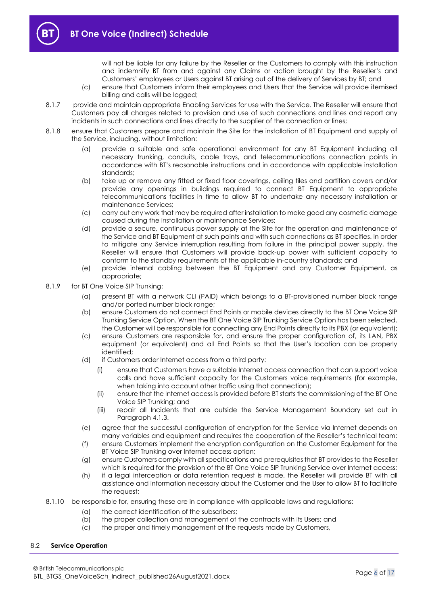

will not be liable for any failure by the Reseller or the Customers to comply with this instruction and indemnify BT from and against any Claims or action brought by the Reseller's and Customers' employees or Users against BT arising out of the delivery of Services by BT; and

- (c) ensure that Customers inform their employees and Users that the Service will provide itemised billing and calls will be logged;
- 8.1.7 provide and maintain appropriate Enabling Services for use with the Service. The Reseller will ensure that Customers pay all charges related to provision and use of such connections and lines and report any incidents in such connections and lines directly to the supplier of the connection or lines;
- 8.1.8 ensure that Customers prepare and maintain the Site for the installation of BT Equipment and supply of the Service, including, without limitation:
	- (a) provide a suitable and safe operational environment for any BT Equipment including all necessary trunking, conduits, cable trays, and telecommunications connection points in accordance with BT's reasonable instructions and in accordance with applicable installation standards;
	- (b) take up or remove any fitted or fixed floor coverings, ceiling tiles and partition covers and/or provide any openings in buildings required to connect BT Equipment to appropriate telecommunications facilities in time to allow BT to undertake any necessary installation or maintenance Services;
	- (c) carry out any work that may be required after installation to make good any cosmetic damage caused during the installation or maintenance Services;
	- (d) provide a secure, continuous power supply at the Site for the operation and maintenance of the Service and BT Equipment at such points and with such connections as BT specifies. In order to mitigate any Service interruption resulting from failure in the principal power supply, the Reseller will ensure that Customers will provide back-up power with sufficient capacity to conform to the standby requirements of the applicable in-country standards; and
	- (e) provide internal cabling between the BT Equipment and any Customer Equipment, as appropriate;
- 8.1.9 for BT One Voice SIP Trunking:
	- (a) present BT with a network CLI (PAID) which belongs to a BT-provisioned number block range and/or ported number block range;
	- (b) ensure Customers do not connect End Points or mobile devices directly to the BT One Voice SIP Trunking Service Option. When the BT One Voice SIP Trunking Service Option has been selected, the Customer will be responsible for connecting any End Points directly to its PBX (or equivalent);
	- (c) ensure Customers are responsible for, and ensure the proper configuration of, its LAN, PBX equipment (or equivalent) and all End Points so that the User's location can be properly identified;
	- (d) if Customers order Internet access from a third party:
		- (i) ensure that Customers have a suitable Internet access connection that can support voice calls and have sufficient capacity for the Customers voice requirements (for example, when taking into account other traffic using that connection);
		- (ii) ensure that the Internet access is provided before BT starts the commissioning of the BT One Voice SIP Trunking; and
		- (iii) repair all Incidents that are outside the Service Management Boundary set out in Paragraph [4.1.3.](#page-3-4)
	- (e) agree that the successful configuration of encryption for the Service via Internet depends on many variables and equipment and requires the cooperation of the Reseller's technical team;
	- (f) ensure Customers implement the encryption configuration on the Customer Equipment for the BT Voice SIP Trunking over Internet access option;
	- (g) ensure Customers comply with all specifications and prerequisites that BT provides to the Reseller which is required for the provision of the BT One Voice SIP Trunking Service over Internet access;
	- (h) if a legal interception or data retention request is made, the Reseller will provide BT with all assistance and information necessary about the Customer and the User to allow BT to facilitate the request;
- 8.1.10 be responsible for, ensuring these are in compliance with applicable laws and regulations:
	- (a) the correct identification of the subscribers;
	- (b) the proper collection and management of the contracts with its Users; and
	- (c) the proper and timely management of the requests made by Customers,

#### 8.2 **Service Operation**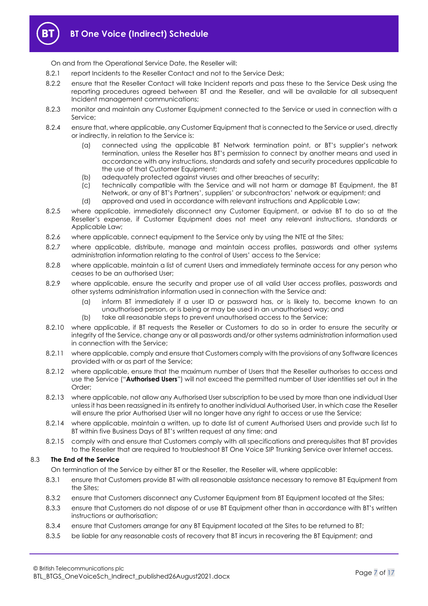

On and from the Operational Service Date, the Reseller will:

- 8.2.1 report Incidents to the Reseller Contact and not to the Service Desk;
- 8.2.2 ensure that the Reseller Contact will take Incident reports and pass these to the Service Desk using the reporting procedures agreed between BT and the Reseller, and will be available for all subsequent Incident management communications;
- 8.2.3 monitor and maintain any Customer Equipment connected to the Service or used in connection with a Service;
- 8.2.4 ensure that, where applicable, any Customer Equipment that is connected to the Service or used, directly or indirectly, in relation to the Service is:
	- (a) connected using the applicable BT Network termination point, or BT's supplier's network termination, unless the Reseller has BT's permission to connect by another means and used in accordance with any instructions, standards and safety and security procedures applicable to the use of that Customer Equipment;
	- (b) adequately protected against viruses and other breaches of security;
	- (c) technically compatible with the Service and will not harm or damage BT Equipment, the BT Network, or any of BT's Partners', suppliers' or subcontractors' network or equipment; and
	- (d) approved and used in accordance with relevant instructions and Applicable Law;
- 8.2.5 where applicable, immediately disconnect any Customer Equipment, or advise BT to do so at the Reseller's expense, if Customer Equipment does not meet any relevant instructions, standards or Applicable Law;
- 8.2.6 where applicable, connect equipment to the Service only by using the NTE at the Sites;
- 8.2.7 where applicable, distribute, manage and maintain access profiles, passwords and other systems administration information relating to the control of Users' access to the Service;
- 8.2.8 where applicable, maintain a list of current Users and immediately terminate access for any person who ceases to be an authorised User;
- 8.2.9 where applicable, ensure the security and proper use of all valid User access profiles, passwords and other systems administration information used in connection with the Service and:
	- (a) inform BT immediately if a user ID or password has, or is likely to, become known to an unauthorised person, or is being or may be used in an unauthorised way; and
	- (b) take all reasonable steps to prevent unauthorised access to the Service;
- 8.2.10 where applicable, if BT requests the Reseller or Customers to do so in order to ensure the security or integrity of the Service, change any or all passwords and/or other systems administration information used in connection with the Service;
- 8.2.11 where applicable, comply and ensure that Customers comply with the provisions of any Software licences provided with or as part of the Service;
- <span id="page-6-0"></span>8.2.12 where applicable, ensure that the maximum number of Users that the Reseller authorises to access and use the Service ("**Authorised Users**") will not exceed the permitted number of User identities set out in the Order;
- 8.2.13 where applicable, not allow any Authorised User subscription to be used by more than one individual User unless it has been reassigned in its entirety to another individual Authorised User, in which case the Reseller will ensure the prior Authorised User will no longer have any right to access or use the Service;
- 8.2.14 where applicable, maintain a written, up to date list of current Authorised Users and provide such list to BT within five Business Days of BT's written request at any time; and
- 8.2.15 comply with and ensure that Customers comply with all specifications and prerequisites that BT provides to the Reseller that are required to troubleshoot BT One Voice SIP Trunking Service over Internet access.

## 8.3 **The End of the Service**

On termination of the Service by either BT or the Reseller, the Reseller will, where applicable:

- 8.3.1 ensure that Customers provide BT with all reasonable assistance necessary to remove BT Equipment from the Sites;
- 8.3.2 ensure that Customers disconnect any Customer Equipment from BT Equipment located at the Sites;
- 8.3.3 ensure that Customers do not dispose of or use BT Equipment other than in accordance with BT's written instructions or authorisation;
- 8.3.4 ensure that Customers arrange for any BT Equipment located at the Sites to be returned to BT;
- 8.3.5 be liable for any reasonable costs of recovery that BT incurs in recovering the BT Equipment; and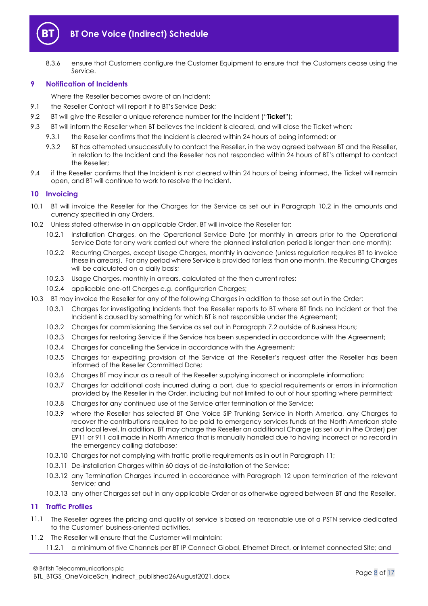

8.3.6 ensure that Customers configure the Customer Equipment to ensure that the Customers cease using the Service.

## <span id="page-7-0"></span>**9 Notification of Incidents**

Where the Reseller becomes aware of an Incident:

- 9.1 the Reseller Contact will report it to BT's Service Desk;
- <span id="page-7-5"></span>9.2 BT will give the Reseller a unique reference number for the Incident ("**Ticket**");
- <span id="page-7-4"></span>9.3 BT will inform the Reseller when BT believes the Incident is cleared, and will close the Ticket when:
	- 9.3.1 the Reseller confirms that the Incident is cleared within 24 hours of being informed; or
	- 9.3.2 BT has attempted unsuccessfully to contact the Reseller, in the way agreed between BT and the Reseller, in relation to the Incident and the Reseller has not responded within 24 hours of BT's attempt to contact the Reseller;
- 9.4 if the Reseller confirms that the Incident is not cleared within 24 hours of being informed, the Ticket will remain open, and BT will continue to work to resolve the Incident.

## <span id="page-7-1"></span>**10 Invoicing**

- 10.1 BT will invoice the Reseller for the Charges for the Service as set out in Paragraph [10.2](#page-7-3) in the amounts and currency specified in any Orders.
- <span id="page-7-3"></span>10.2 Unless stated otherwise in an applicable Order, BT will invoice the Reseller for:
	- 10.2.1 Installation Charges, on the Operational Service Date (or monthly in arrears prior to the Operational Service Date for any work carried out where the planned installation period is longer than one month);
	- 10.2.2 Recurring Charges, except Usage Charges, monthly in advance (unless regulation requires BT to invoice these in arrears). For any period where Service is provided for less than one month, the Recurring Charges will be calculated on a daily basis;
	- 10.2.3 Usage Charges, monthly in arrears, calculated at the then current rates;
	- 10.2.4 applicable one-off Charges e.g. configuration Charges;
- 10.3 BT may invoice the Reseller for any of the following Charges in addition to those set out in the Order:
	- 10.3.1 Charges for investigating Incidents that the Reseller reports to BT where BT finds no Incident or that the Incident is caused by something for which BT is not responsible under the Agreement;
	- 10.3.2 Charges for commissioning the Service as set out in Paragraph [7.2](#page-3-5) outside of Business Hours;
	- 10.3.3 Charges for restoring Service if the Service has been suspended in accordance with the Agreement;
	- 10.3.4 Charges for cancelling the Service in accordance with the Agreement;
	- 10.3.5 Charges for expediting provision of the Service at the Reseller's request after the Reseller has been informed of the Reseller Committed Date;
	- 10.3.6 Charges BT may incur as a result of the Reseller supplying incorrect or incomplete information;
	- 10.3.7 Charges for additional costs incurred during a port, due to special requirements or errors in information provided by the Reseller in the Order, including but not limited to out of hour sporting where permitted;
	- 10.3.8 Charges for any continued use of the Service after termination of the Service;
	- 10.3.9 where the Reseller has selected BT One Voice SIP Trunking Service in North America, any Charges to recover the contributions required to be paid to emergency services funds at the North American state and local level. In addition, BT may charge the Reseller an additional Charge (as set out in the Order) per E911 or 911 call made in North America that is manually handled due to having incorrect or no record in the emergency calling database;
	- 10.3.10 Charges for not complying with traffic profile requirements as in out in Paragraph [11;](#page-7-2)
	- 10.3.11 De-installation Charges within 60 days of de-installation of the Service;
	- 10.3.12 any Termination Charges incurred in accordance with Paragraph [12](#page-8-0) upon termination of the relevant Service; and
	- 10.3.13 any other Charges set out in any applicable Order or as otherwise agreed between BT and the Reseller.

## <span id="page-7-2"></span>**11 Traffic Profiles**

- 11.1 The Reseller agrees the pricing and quality of service is based on reasonable use of a PSTN service dedicated to the Customer' business-oriented activities.
- 11.2 The Reseller will ensure that the Customer will maintain:
	- 11.2.1 a minimum of five Channels per BT IP Connect Global, Ethernet Direct, or Internet connected Site; and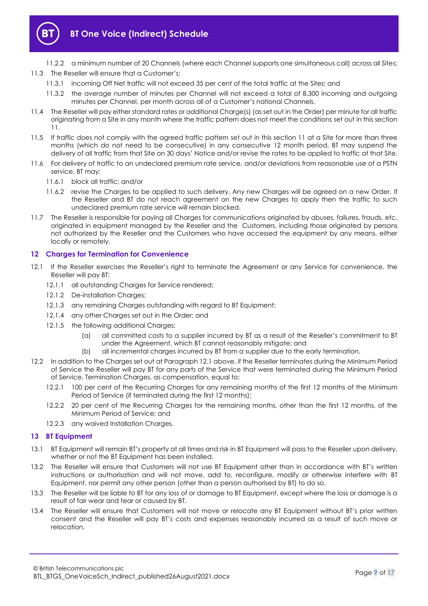

- 11.2.2 a minimum number of 20 Channels (where each Channel supports one simultaneous call) across all Sites; 11.3 The Reseller will ensure that a Customer's:
	- 11.3.1 incoming Off Net traffic will not exceed 35 per cent of the total traffic at the Sites; and
	- 11.3.2 the average number of minutes per Channel will not exceed a total of 8,300 incoming and outgoing minutes per Channel, per month across all of a Customer's national Channels.
- 11.4 The Reseller will pay either standard rates or additional Charge(s) (as set out in the Order) per minute for all traffic originating from a Site in any month where the traffic pattern does not meet the conditions set out in this section [11.](#page-7-2)
- 11.5 If traffic does not comply with the agreed traffic pattern set out in this sectio[n 11](#page-7-2) at a Site for more than three months (which do not need to be consecutive) in any consecutive 12 month period, BT may suspend the delivery of all traffic from that Site on 30 days' Notice and/or revise the rates to be applied to traffic at that Site.
- 11.6 For delivery of traffic to an undeclared premium rate service, and/or deviations from reasonable use of a PSTN service, BT may:
	- 11.6.1 block all traffic; and/or
	- 11.6.2 revise the Charges to be applied to such delivery. Any new Charges will be agreed on a new Order. If the Reseller and BT do not reach agreement on the new Charges to apply then the traffic to such undeclared premium rate service will remain blocked.
- 11.7 The Reseller is responsible for paying all Charges for communications originated by abuses, failures, frauds, etc. originated in equipment managed by the Reseller and the Customers, including those originated by persons not authorized by the Reseller and the Customers who have accessed the equipment by any means, either locally or remotely.

## <span id="page-8-0"></span>**12 Charges for Termination for Convenience**

- <span id="page-8-2"></span>12.1 If the Reseller exercises the Reseller's right to terminate the Agreement or any Service for convenience, the Reseller will pay BT:
	- 12.1.1 all outstanding Charges for Service rendered;
	- 12.1.2 De-installation Charges;
	- 12.1.3 any remaining Charges outstanding with regard to BT Equipment;
	- 12.1.4 any other Charges set out in the Order; and
	- 12.1.5 the following additional Charges:
		- (a) all committed costs to a supplier incurred by BT as a result of the Reseller's commitment to BT under the Agreement, which BT cannot reasonably mitigate; and
		- (b) all incremental charges incurred by BT from a supplier due to the early termination.
- 12.2 In addition to the Charges set out at Paragrap[h 12.1](#page-8-2) above, if the Reseller terminates during the Minimum Period of Service the Reseller will pay BT for any parts of the Service that were terminated during the Minimum Period of Service, Termination Charges, as compensation, equal to:
	- 12.2.1 100 per cent of the Recurring Charges for any remaining months of the first 12 months of the Minimum Period of Service (if terminated during the first 12 months);
	- 12.2.2 20 per cent of the Recurring Charges for the remaining months, other than the first 12 months, of the Minimum Period of Service; and
	- 12.2.3 any waived Installation Charges.

## <span id="page-8-1"></span>**13 BT Equipment**

- 13.1 BT Equipment will remain BT's property at all times and risk in BT Equipment will pass to the Reseller upon delivery, whether or not the BT Equipment has been installed.
- 13.2 The Reseller will ensure that Customers will not use BT Equipment other than in accordance with BT's written instructions or authorisation and will not move, add to, reconfigure, modify or otherwise interfere with BT Equipment, nor permit any other person (other than a person authorised by BT) to do so.
- 13.3 The Reseller will be liable to BT for any loss of or damage to BT Equipment, except where the loss or damage is a result of fair wear and tear or caused by BT.
- 13.4 The Reseller will ensure that Customers will not move or relocate any BT Equipment without BT's prior written consent and the Reseller will pay BT's costs and expenses reasonably incurred as a result of such move or relocation.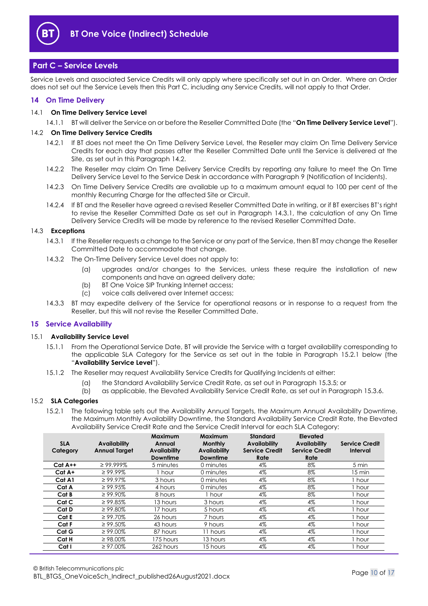

## <span id="page-9-0"></span>**Part C – Service Levels**

Service Levels and associated Service Credits will only apply where specifically set out in an Order. Where an Order does not set out the Service Levels then this Part C, including any Service Credits, will not apply to that Order.

## <span id="page-9-1"></span>**14 On Time Delivery**

## <span id="page-9-7"></span>14.1 **On Time Delivery Service Level**

14.1.1 BT will deliver the Service on or before the Reseller Committed Date (the "**On Time Delivery Service Level**").

## <span id="page-9-3"></span>14.2 **On Time Delivery Service Credits**

- 14.2.1 If BT does not meet the On Time Delivery Service Level, the Reseller may claim On Time Delivery Service Credits for each day that passes after the Reseller Committed Date until the Service is delivered at the Site, as set out in this Paragraph [14.2.](#page-9-3)
- 14.2.2 The Reseller may claim On Time Delivery Service Credits by reporting any failure to meet the On Time Delivery Service Level to the Service Desk in accordance with Paragrap[h 9](#page-7-0) (Notification of Incidents).
- 14.2.3 On Time Delivery Service Credits are available up to a maximum amount equal to 100 per cent of the monthly Recurring Charge for the affected Site or Circuit.
- 14.2.4 If BT and the Reseller have agreed a revised Reseller Committed Date in writing, or if BT exercises BT's right to revise the Reseller Committed Date as set out in Paragraph [14.3.1,](#page-9-4) the calculation of any On Time Delivery Service Credits will be made by reference to the revised Reseller Committed Date.

#### <span id="page-9-4"></span>14.3 **Exceptions**

- 14.3.1 If the Reseller requests a change to the Service or any part of the Service, then BT may change the Reseller Committed Date to accommodate that change.
- 14.3.2 The On-Time Delivery Service Level does not apply to:
	- (a) upgrades and/or changes to the Services, unless these require the installation of new components and have an agreed delivery date;
	- (b) BT One Voice SIP Trunking Internet access;
	- (c) voice calls delivered over Internet access;
- 14.3.3 BT may expedite delivery of the Service for operational reasons or in response to a request from the Reseller, but this will not revise the Reseller Committed Date.

## <span id="page-9-2"></span>**15 Service Availability**

#### <span id="page-9-6"></span>15.1 **Availability Service Level**

- 15.1.1 From the Operational Service Date, BT will provide the Service with a target availability corresponding to the applicable SLA Category for the Service as set out in the table in Paragraph [15.2.1](#page-9-5) below (the "**Availability Service Level**").
- 15.1.2 The Reseller may request Availability Service Credits for Qualifying Incidents at either:
	- (a) the Standard Availability Service Credit Rate, as set out in Paragraph [15.3.5;](#page-10-2) or
	- (b) as applicable, the Elevated Availability Service Credit Rate, as set out in Paragraph [15.3.6.](#page-10-3)

## <span id="page-9-5"></span>15.2 **SLA Categories**

15.2.1 The following table sets out the Availability Annual Targets, the Maximum Annual Availability Downtime, the Maximum Monthly Availability Downtime, the Standard Availability Service Credit Rate, the Elevated Availability Service Credit Rate and the Service Credit Interval for each SLA Category:

| <b>SLA</b><br>Category | Availability<br><b>Annual Target</b> | Maximum<br>Annual<br><b>Availability</b><br><b>Downtime</b> | <b>Maximum</b><br><b>Monthly</b><br>Availability<br><b>Downtime</b> | <b>Standard</b><br><b>Availability</b><br><b>Service Credit</b><br>Rate | Elevated<br><b>Availability</b><br><b>Service Credit</b><br>Rate | <b>Service Credit</b><br>Interval |
|------------------------|--------------------------------------|-------------------------------------------------------------|---------------------------------------------------------------------|-------------------------------------------------------------------------|------------------------------------------------------------------|-----------------------------------|
| $Cat A++$              | $\geq$ 99.999%                       | 5 minutes                                                   | 0 minutes                                                           | 4%                                                                      | 8%                                                               | 5 min                             |
| Cat A+                 | $\geq 99.99\%$                       | 1 hour                                                      | 0 minutes                                                           | 4%                                                                      | 8%                                                               | 15 min                            |
| Cat A1                 | $\geq 99.97\%$                       | 3 hours                                                     | 0 minutes                                                           | 4%                                                                      | 8%                                                               | hour                              |
| Cat A                  | $\geq 99.95\%$                       | 4 hours                                                     | 0 minutes                                                           | 4%                                                                      | 8%                                                               | hour                              |
| Cat B                  | $\geq 99.90\%$                       | 8 hours                                                     | 1 hour                                                              | 4%                                                                      | 8%                                                               | i hour                            |
| Cat C                  | $\geq 99.85\%$                       | 13 hours                                                    | 3 hours                                                             | 4%                                                                      | $4\%$                                                            | I hour                            |
| Cat D                  | $\geq 99.80\%$                       | 17 hours                                                    | 5 hours                                                             | 4%                                                                      | 4%                                                               | hour                              |
| Cat E                  | $\geq 99.70\%$                       | 26 hours                                                    | 7 hours                                                             | 4%                                                                      | 4%                                                               | hour                              |
| Cat F                  | $\geq 99.50\%$                       | 43 hours                                                    | 9 hours                                                             | 4%                                                                      | 4%                                                               | hour                              |
| Cat G                  | $\geq 99.00\%$                       | 87 hours                                                    | 11 hours                                                            | 4%                                                                      | $4\%$                                                            | hour                              |
| Cat H                  | $\geq 98.00\%$                       | 175 hours                                                   | 13 hours                                                            | 4%                                                                      | 4%                                                               | 1 hour                            |
| Cat I                  | $\geq 97.00\%$                       | 262 hours                                                   | 15 hours                                                            | 4%                                                                      | 4%                                                               | l hour                            |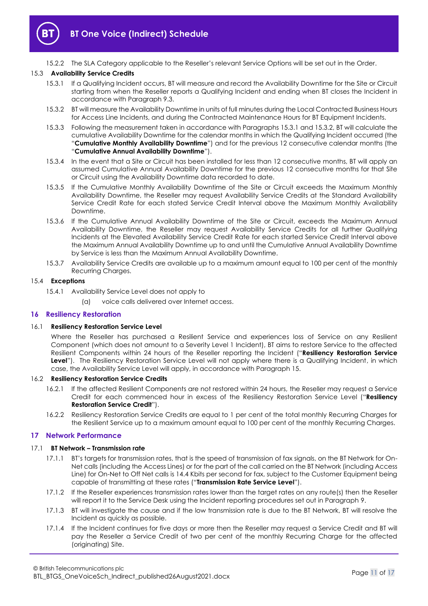

15.2.2 The SLA Category applicable to the Reseller's relevant Service Options will be set out in the Order.

## <span id="page-10-4"></span>15.3 **Availability Service Credits**

- 15.3.1 If a Qualifying Incident occurs, BT will measure and record the Availability Downtime for the Site or Circuit starting from when the Reseller reports a Qualifying Incident and ending when BT closes the Incident in accordance with Paragraph [9.3.](#page-7-4)
- <span id="page-10-5"></span>15.3.2 BT will measure the Availability Downtime in units of full minutes during the Local Contracted Business Hours for Access Line Incidents, and during the Contracted Maintenance Hours for BT Equipment Incidents.
- <span id="page-10-6"></span>15.3.3 Following the measurement taken in accordance with Paragraph[s 15.3.1](#page-10-4) and [15.3.2,](#page-10-5) BT will calculate the cumulative Availability Downtime for the calendar months in which the Qualifying Incident occurred (the "**Cumulative Monthly Availability Downtime**") and for the previous 12 consecutive calendar months (the "**Cumulative Annual Availability Downtime**").
- 15.3.4 In the event that a Site or Circuit has been installed for less than 12 consecutive months, BT will apply an assumed Cumulative Annual Availability Downtime for the previous 12 consecutive months for that Site or Circuit using the Availability Downtime data recorded to date.
- <span id="page-10-2"></span>15.3.5 If the Cumulative Monthly Availability Downtime of the Site or Circuit exceeds the Maximum Monthly Availability Downtime, the Reseller may request Availability Service Credits at the Standard Availability Service Credit Rate for each stated Service Credit Interval above the Maximum Monthly Availability Downtime.
- <span id="page-10-3"></span>15.3.6 If the Cumulative Annual Availability Downtime of the Site or Circuit, exceeds the Maximum Annual Availability Downtime, the Reseller may request Availability Service Credits for all further Qualifying Incidents at the Elevated Availability Service Credit Rate for each started Service Credit Interval above the Maximum Annual Availability Downtime up to and until the Cumulative Annual Availability Downtime by Service is less than the Maximum Annual Availability Downtime.
- 15.3.7 Availability Service Credits are available up to a maximum amount equal to 100 per cent of the monthly Recurring Charges.

## 15.4 **Exceptions**

- 15.4.1 Availability Service Level does not apply to
	- (a) voice calls delivered over Internet access.

## <span id="page-10-0"></span>**16 Resiliency Restoration**

#### <span id="page-10-8"></span>16.1 **Resiliency Restoration Service Level**

Where the Reseller has purchased a Resilient Service and experiences loss of Service on any Resilient Component (which does not amount to a Severity Level 1 Incident), BT aims to restore Service to the affected Resilient Components within 24 hours of the Reseller reporting the Incident ("**Resiliency Restoration Service Level**"). The Resiliency Restoration Service Level will not apply where there is a Qualifying Incident, in which case, the Availability Service Level will apply, in accordance with Paragraph [15.](#page-9-2)

#### <span id="page-10-7"></span>16.2 **Resiliency Restoration Service Credits**

- 16.2.1 If the affected Resilient Components are not restored within 24 hours, the Reseller may request a Service Credit for each commenced hour in excess of the Resiliency Restoration Service Level ("**Resiliency Restoration Service Credit**").
- 16.2.2 Resiliency Restoration Service Credits are equal to 1 per cent of the total monthly Recurring Charges for the Resilient Service up to a maximum amount equal to 100 per cent of the monthly Recurring Charges.

## <span id="page-10-1"></span>**17 Network Performance**

#### <span id="page-10-9"></span>17.1 **BT Network – Transmission rate**

- 17.1.1 BT's targets for transmission rates, that is the speed of transmission of fax signals, on the BT Network for On-Net calls (including the Access Lines) or for the part of the call carried on the BT Network (including Access Line) for On-Net to Off Net calls is 14.4 Kbits per second for fax, subject to the Customer Equipment being capable of transmitting at these rates ("**Transmission Rate Service Level**").
- 17.1.2 If the Reseller experiences transmission rates lower than the target rates on any route(s) then the Reseller will report it to the Service Desk using the Incident reporting procedures set out in Paragraph [9.](#page-7-0)
- 17.1.3 BT will investigate the cause and if the low transmission rate is due to the BT Network, BT will resolve the Incident as quickly as possible.
- 17.1.4 If the Incident continues for five days or more then the Reseller may request a Service Credit and BT will pay the Reseller a Service Credit of two per cent of the monthly Recurring Charge for the affected (originating) Site.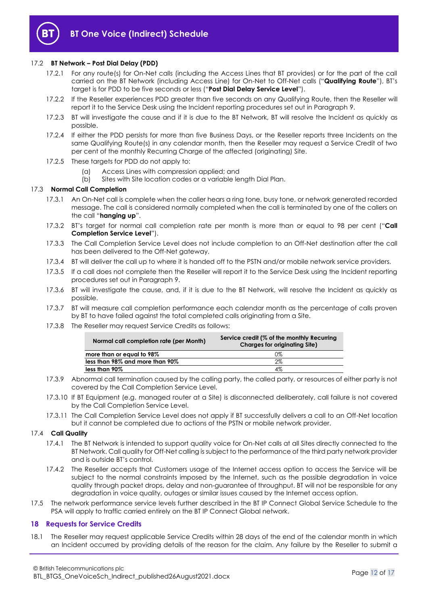

## <span id="page-11-3"></span>17.2 **BT Network – Post Dial Delay (PDD)**

- 17.2.1 For any route(s) for On-Net calls (including the Access Lines that BT provides) or for the part of the call carried on the BT Network (including Access Line) for On-Net to Off-Net calls ("**Qualifying Route**"), BT's target is for PDD to be five seconds or less ("**Post Dial Delay Service Level**").
- 17.2.2 If the Reseller experiences PDD greater than five seconds on any Qualifying Route, then the Reseller will report it to the Service Desk using the Incident reporting procedures set out in Paragraph [9.](#page-7-0)
- 17.2.3 BT will investigate the cause and if it is due to the BT Network, BT will resolve the Incident as quickly as possible.
- 17.2.4 If either the PDD persists for more than five Business Days, or the Reseller reports three Incidents on the same Qualifying Route(s) in any calendar month, then the Reseller may request a Service Credit of two per cent of the monthly Recurring Charge of the affected (originating) Site.
- 17.2.5 These targets for PDD do not apply to:
	- (a) Access Lines with compression applied; and
	- (b) Sites with Site location codes or a variable length Dial Plan.

#### 17.3 **Normal Call Completion**

- 17.3.1 An On-Net call is complete when the caller hears a ring tone, busy tone, or network generated recorded message. The call is considered normally completed when the call is terminated by one of the callers on the call "**hanging up**".
- <span id="page-11-2"></span>17.3.2 BT's target for normal call completion rate per month is more than or equal to 98 per cent ("**Call Completion Service Level**").
- 17.3.3 The Call Completion Service Level does not include completion to an Off-Net destination after the call has been delivered to the Off-Net gateway.
- 17.3.4 BT will deliver the call up to where it is handed off to the PSTN and/or mobile network service providers.
- 17.3.5 If a call does not complete then the Reseller will report it to the Service Desk using the Incident reporting procedures set out in Paragraph [9.](#page-7-0)
- 17.3.6 BT will investigate the cause, and, if it is due to the BT Network, will resolve the Incident as quickly as possible.
- 17.3.7 BT will measure call completion performance each calendar month as the percentage of calls proven by BT to have failed against the total completed calls originating from a Site.
- 17.3.8 The Reseller may request Service Credits as follows:

| Normal call completion rate (per Month) | Service credit (% of the monthly Recurring<br><b>Charges for originating Site)</b> |
|-----------------------------------------|------------------------------------------------------------------------------------|
| more than or equal to 98%               | 0%                                                                                 |
| less than 98% and more than 90%         | $2\%$                                                                              |
| less than 90%                           | 4%                                                                                 |

- 17.3.9 Abnormal call termination caused by the calling party, the called party, or resources of either party is not covered by the Call Completion Service Level.
- 17.3.10 If BT Equipment (e.g. managed router at a Site) is disconnected deliberately, call failure is not covered by the Call Completion Service Level.
- 17.3.11 The Call Completion Service Level does not apply if BT successfully delivers a call to an Off-Net location but it cannot be completed due to actions of the PSTN or mobile network provider.

#### 17.4 **Call Quality**

- 17.4.1 The BT Network is intended to support quality voice for On-Net calls at all Sites directly connected to the BT Network. Call quality for Off-Net calling is subject to the performance of the third party network provider and is outside BT's control.
- 17.4.2 The Reseller accepts that Customers usage of the Internet access option to access the Service will be subject to the normal constraints imposed by the Internet, such as the possible degradation in voice quality through packet drops, delay and non-guarantee of throughput. BT will not be responsible for any degradation in voice quality, outages or similar issues caused by the Internet access option.
- 17.5 The network performance service levels further described in the BT IP Connect Global Service Schedule to the PSA will apply to traffic carried entirely on the BT IP Connect Global network.

## <span id="page-11-0"></span>**18 Requests for Service Credits**

<span id="page-11-1"></span>18.1 The Reseller may request applicable Service Credits within 28 days of the end of the calendar month in which an Incident occurred by providing details of the reason for the claim. Any failure by the Reseller to submit a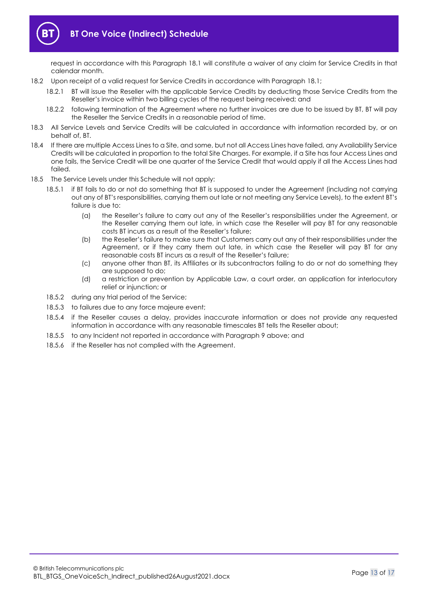

request in accordance with this Paragraph [18.1](#page-11-1) will constitute a waiver of any claim for Service Credits in that calendar month.

- 18.2 Upon receipt of a valid request for Service Credits in accordance with Paragraph [18.1;](#page-11-1)
	- 18.2.1 BT will issue the Reseller with the applicable Service Credits by deducting those Service Credits from the Reseller's invoice within two billing cycles of the request being received; and
	- 18.2.2 following termination of the Agreement where no further invoices are due to be issued by BT, BT will pay the Reseller the Service Credits in a reasonable period of time.
- 18.3 All Service Levels and Service Credits will be calculated in accordance with information recorded by, or on behalf of, BT.
- 18.4 If there are multiple Access Lines to a Site, and some, but not all Access Lines have failed, any Availability Service Credits will be calculated in proportion to the total Site Charges. For example, if a Site has four Access Lines and one fails, the Service Credit will be one quarter of the Service Credit that would apply if all the Access Lines had failed.
- 18.5 The Service Levels under this Schedule will not apply:
	- 18.5.1 if BT fails to do or not do something that BT is supposed to under the Agreement (including not carrying out any of BT's responsibilities, carrying them out late or not meeting any Service Levels), to the extent BT's failure is due to:
		- (a) the Reseller's failure to carry out any of the Reseller's responsibilities under the Agreement, or the Reseller carrying them out late, in which case the Reseller will pay BT for any reasonable costs BT incurs as a result of the Reseller's failure;
		- (b) the Reseller's failure to make sure that Customers carry out any of their responsibilities under the Agreement, or if they carry them out late, in which case the Reseller will pay BT for any reasonable costs BT incurs as a result of the Reseller's failure;
		- (c) anyone other than BT, its Affiliates or its subcontractors failing to do or not do something they are supposed to do;
		- (d) a restriction or prevention by Applicable Law, a court order, an application for interlocutory relief or injunction; or
	- 18.5.2 during any trial period of the Service;
	- 18.5.3 to failures due to any force majeure event;
	- 18.5.4 if the Reseller causes a delay, provides inaccurate information or does not provide any requested information in accordance with any reasonable timescales BT tells the Reseller about;
	- 18.5.5 to any Incident not reported in accordance with Paragrap[h 9](#page-7-0) above; and
	- 18.5.6 if the Reseller has not complied with the Agreement.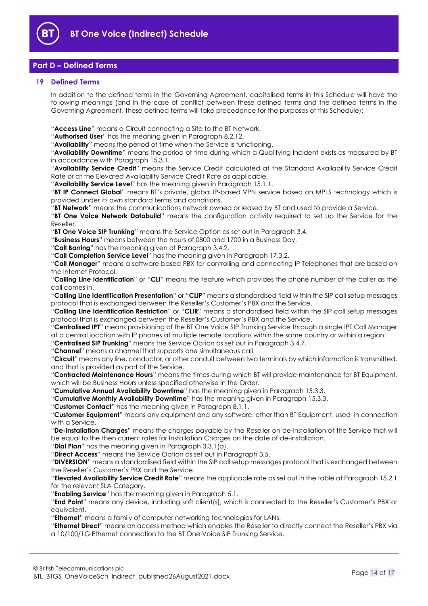

# <span id="page-13-0"></span>**Part D – Defined Terms**

## <span id="page-13-1"></span>**19 Defined Terms**

In addition to the defined terms in the Governing Agreement, capitalised terms in this Schedule will have the following meanings (and in the case of conflict between these defined terms and the defined terms in the Governing Agreement, these defined terms will take precedence for the purposes of this Schedule):

"**Access Line**" means a Circuit connecting a Site to the BT Network.

"**Authorised User**" has the meaning given in Paragraph [8.2.12.](#page-6-0)

"**Availability**" means the period of time when the Service is functioning.

"**Availability Downtime**" means the period of time during which a Qualifying Incident exists as measured by BT in accordance with Paragrap[h 15.3.1.](#page-10-4)

"**Availability Service Credit**" means the Service Credit calculated at the Standard Availability Service Credit Rate or at the Elevated Availability Service Credit Rate as applicable.

"**Availability Service Level**" has the meaning given in Paragrap[h 15.1.1.](#page-9-6)

"**BT IP Connect Global**" means BT's private, global IP-based VPN service based on MPLS technology which is provided under its own standard terms and conditions.

"**BT Network**" means the communications network owned or leased by BT and used to provide a Service.

"**BT One Voice Network Databuild**" means the configuration activity required to set up the Service for the Reseller.

"**BT One Voice SIP Trunking**" means the Service Option as set out in Paragraph [3.4.](#page-1-6)

"**Business Hours**" means between the hours of 0800 and 1700 in a Business Day.

"**Call Barring**" has the meaning given at Paragrap[h 3.4.2.](#page-1-7)

"**Call Completion Service Level**" has the meaning given in Paragraph [17.3.2.](#page-11-2)

"**Call Manager**" means a software based PBX for controlling and connecting IP Telephones that are based on the Internet Protocol.

"**Calling Line Identification**" or "**CLI**" means the feature which provides the phone number of the caller as the call comes in.

"**Calling Line Identification Presentation**" or "**CLIP**" means a standardised field within the SIP call setup messages protocol that is exchanged between the Reseller's Customer's PBX and the Service.

"**Calling Line Identification Restriction**" or "**CLIR**" means a standardised field within the SIP call setup messages protocol that is exchanged between the Reseller's Customer's PBX and the Service.

"**Centralised IPT**" means provisioning of the BT One Voice SIP Trunking Service through a single IPT Call Manager at a central location with IP phones at multiple remote locations within the same country or within a region.

"**Centralised SIP Trunking**" means the Service Option as set out in Paragraph [3.4.7.](#page-2-3)

"**Channel**" means a channel that supports one simultaneous call.

"**Circuit**" means any line, conductor, or other conduit between two terminals by which information is transmitted, and that is provided as part of the Service.

"**Contracted Maintenance Hours**" means the times during which BT will provide maintenance for BT Equipment, which will be Business Hours unless specified otherwise in the Order.

"**Cumulative Annual Availability Downtime**" has the meaning given in Paragraph [15.3.3.](#page-10-6)

"**Cumulative Monthly Availability Downtime**" has the meaning given in Paragrap[h 15.3.3.](#page-10-6)

"**Customer Contact**" has the meaning given in Paragraph [8.1.1.](#page-4-1)

"**Customer Equipment**" means any equipment and any software, other than BT Equipment, used in connection with a Service.

"**De-installation Charges**" means the charges payable by the Reseller on de-installation of the Service that will be equal to the then current rates for Installation Charges on the date of de-installation.

"**Dial Plan**" has the meaning given in Paragraph [3.3.1\(a\).](#page-1-8)

"**Direct Access**" means the Service Option as set out in Paragrap[h 3.5.](#page-2-2)

"**DIVERSION**" means a standardised field within the SIP call setup messages protocol that is exchanged between the Reseller's Customer's PBX and the Service.

"**Elevated Availability Service Credit Rate**" means the applicable rate as set out in the table at Paragraph [15.2.1](#page-9-5) for the relevant SLA Category.

"**Enabling Service**" has the meaning given in Paragrap[h 5.1.](#page-3-6)

"**End Point**" means any device, including soft client(s), which is connected to the Reseller's Customer's PBX or equivalent.

"**Ethernet**" means a family of computer networking technologies for LANs.

"**Ethernet Direct**" means an access method which enables the Reseller to directly connect the Reseller's PBX via a 10/100/1G Ethernet connection to the BT One Voice SIP Trunking Service.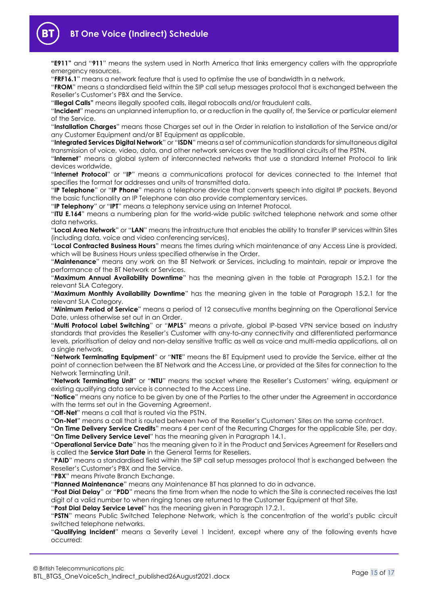

**"E911"** and "**911**" means the system used in North America that links emergency callers with the appropriate emergency resources.

"**FRF16.1**" means a network feature that is used to optimise the use of bandwidth in a network.

"**FROM**" means a standardised field within the SIP call setup messages protocol that is exchanged between the Reseller's Customer's PBX and the Service.

"**Illegal Calls"** means illegally spoofed calls, illegal robocalls and/or fraudulent calls.

"**Incident**" means an unplanned interruption to, or a reduction in the quality of, the Service or particular element of the Service.

"**Installation Charges**" means those Charges set out in the Order in relation to installation of the Service and/or any Customer Equipment and/or BT Equipment as applicable.

"**Integrated Services Digital Network**" or "**ISDN**" means a set of communication standards for simultaneous digital transmission of voice, video, data, and other network services over the traditional circuits of the PSTN.

"**Internet**" means a global system of interconnected networks that use a standard Internet Protocol to link devices worldwide.

"**Internet Protocol**" or "**IP**" means a communications protocol for devices connected to the Internet that specifies the format for addresses and units of transmitted data.

"**IP Telephone**" or "**IP Phone**" means a telephone device that converts speech into digital IP packets. Beyond the basic functionality an IP Telephone can also provide complementary services.

"**IP Telephony**" or "**IPT**" means a telephony service using an Internet Protocol.

"**ITU E.164**" means a numbering plan for the world-wide public switched telephone network and some other data networks.

"**Local Area Network**" or "**LAN**" means the infrastructure that enables the ability to transfer IP services within Sites (including data, voice and video conferencing services).

"**Local Contracted Business Hours**" means the times during which maintenance of any Access Line is provided, which will be Business Hours unless specified otherwise in the Order.

"**Maintenance**" means any work on the BT Network or Services, including to maintain, repair or improve the performance of the BT Network or Services.

"**Maximum Annual Availability Downtime**" has the meaning given in the table at Paragraph [15.2.1](#page-9-5) for the relevant SLA Category.

"**Maximum Monthly Availability Downtime**" has the meaning given in the table at Paragraph [15.2.1](#page-9-5) for the relevant SLA Category.

"**Minimum Period of Service**" means a period of 12 consecutive months beginning on the Operational Service Date, unless otherwise set out in an Order.

"**Multi Protocol Label Switching**" or "**MPLS**" means a private, global IP-based VPN service based on industry standards that provides the Reseller's Customer with any-to-any connectivity and differentiated performance levels, prioritisation of delay and non-delay sensitive traffic as well as voice and multi-media applications, all on a single network.

"**Network Terminating Equipment**" or "**NTE**" means the BT Equipment used to provide the Service, either at the point of connection between the BT Network and the Access Line, or provided at the Sites for connection to the Network Terminating Unit.

"**Network Terminating Unit**" or "**NTU**" means the socket where the Reseller's Customers' wiring, equipment or existing qualifying data service is connected to the Access Line.

"**Notice**" means any notice to be given by one of the Parties to the other under the Agreement in accordance with the terms set out in the Governing Agreement.

"**Off-Net**" means a call that is routed via the PSTN.

"**On-Net**" means a call that is routed between two of the Reseller's Customers' Sites on the same contract.

"**On Time Delivery Service Credits**" means 4 per cent of the Recurring Charges for the applicable Site, per day. "**On Time Delivery Service Level**" has the meaning given in Paragrap[h 14.1.](#page-9-7)

"**Operational Service Date**" has the meaning given to it in the Product and Services Agreement for Resellers and is called the **Service Start Date** in the General Terms for Resellers.

"**PAID**" means a standardised field within the SIP call setup messages protocol that is exchanged between the Reseller's Customer's PBX and the Service.

"**PBX**" means Private Branch Exchange.

"**Planned Maintenance**" means any Maintenance BT has planned to do in advance.

"**Post Dial Delay**" or "**PDD**" means the time from when the node to which the Site is connected receives the last digit of a valid number to when ringing tones are returned to the Customer Equipment at that Site.

"**Post Dial Delay Service Level**" has the meaning given in Paragrap[h 17.2.1.](#page-11-3)

"**PSTN**" means Public Switched Telephone Network, which is the concentration of the world's public circuit switched telephone networks.

"**Qualifying Incident**" means a Severity Level 1 Incident, except where any of the following events have occurred: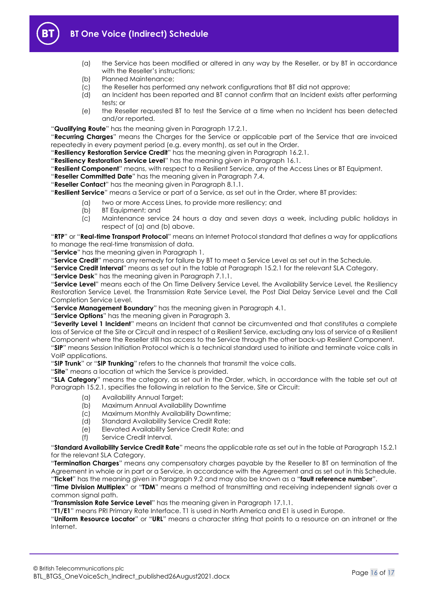



- (a) the Service has been modified or altered in any way by the Reseller, or by BT in accordance with the Reseller's instructions;
- (b) Planned Maintenance;
- (c) the Reseller has performed any network configurations that BT did not approve;
- (d) an Incident has been reported and BT cannot confirm that an Incident exists after performing tests; or
- (e) the Reseller requested BT to test the Service at a time when no Incident has been detected and/or reported.

"**Qualifying Route**" has the meaning given in Paragraph [17.2.1.](#page-11-3)

"**Recurring Charges**" means the Charges for the Service or applicable part of the Service that are invoiced repeatedly in every payment period (e.g. every month), as set out in the Order.

"**Resiliency Restoration Service Credit**" has the meaning given in Paragraph [16.2.1.](#page-10-7)

"**Resiliency Restoration Service Level**" has the meaning given in Paragrap[h 16.1.](#page-10-8)

"**Resilient Component**" means, with respect to a Resilient Service, any of the Access Lines or BT Equipment.

"**Reseller Committed Date**" has the meaning given in Paragraph [7.4.](#page-4-2)

"**Reseller Contact**" has the meaning given in Paragraph [8.1.1.](#page-4-1)

"**Resilient Service**" means a Service or part of a Service, as set out in the Order, where BT provides:

- (a) two or more Access Lines, to provide more resiliency; and
- (b) BT Equipment; and
- (c) Maintenance service 24 hours a day and seven days a week, including public holidays in respect of (a) and (b) above.

"**RTP**" or "**Real-time Transport Protocol**" means an Internet Protocol standard that defines a way for applications to manage the real-time transmission of data.

"**Service**" has the meaning given in Paragraph [1.](#page-1-2)

"**Service Credit**" means any remedy for failure by BT to meet a Service Level as set out in the Schedule.

"**Service Credit Interval**" means as set out in the table at Paragraph [15.2.1](#page-9-5) for the relevant SLA Category.

"**Service Desk**" has the meaning given in Paragraph [7.1.1.](#page-3-7)

"**Service Level**" means each of the On Time Delivery Service Level, the Availability Service Level, the Resiliency Restoration Service Level, the Transmission Rate Service Level, the Post Dial Delay Service Level and the Call Completion Service Level.

"**Service Management Boundary**" has the meaning given in Paragrap[h 4.1.](#page-2-4)

"**Service Options**" has the meaning given in Paragraph [3.](#page-1-4)

"**Severity Level 1 Incident**" means an Incident that cannot be circumvented and that constitutes a complete loss of Service at the Site or Circuit and in respect of a Resilient Service, excluding any loss of service of a Resilient Component where the Reseller still has access to the Service through the other back-up Resilient Component. "**SIP**" means Session Initiation Protocol which is a technical standard used to initiate and terminate voice calls in VoIP applications.

"**SIP Trunk**" or "**SIP Trunking**" refers to the channels that transmit the voice calls.

"**Site**" means a location at which the Service is provided.

"**SLA Category**" means the category, as set out in the Order, which, in accordance with the table set out at Paragraph [15.2.1,](#page-9-5) specifies the following in relation to the Service, Site or Circuit:

- (a) Availability Annual Target;
- (b) Maximum Annual Availability Downtime
- (c) Maximum Monthly Availability Downtime;
- (d) Standard Availability Service Credit Rate;
- (e) Elevated Availability Service Credit Rate; and
- (f) Service Credit Interval.

"**Standard Availability Service Credit Rate**" means the applicable rate as set out in the table at Paragraph [15.2.1](#page-9-5) for the relevant SLA Category.

"**Termination Charges**" means any compensatory charges payable by the Reseller to BT on termination of the Agreement in whole or in part or a Service, in accordance with the Agreement and as set out in this Schedule. "**Ticket**" has the meaning given in Paragrap[h 9.2](#page-7-5) and may also be known as a "**fault reference number**".

"**Time Division Multiplex**" or "**TDM**" means a method of transmitting and receiving independent signals over a common signal path.

"**Transmission Rate Service Level**" has the meaning given in Paragraph [17.1.1.](#page-10-9)

"**T1/E1**" means PRI Primary Rate Interface. T1 is used in North America and E1 is used in Europe.

"**Uniform Resource Locator**" or "**URL**" means a character string that points to a resource on an intranet or the Internet.